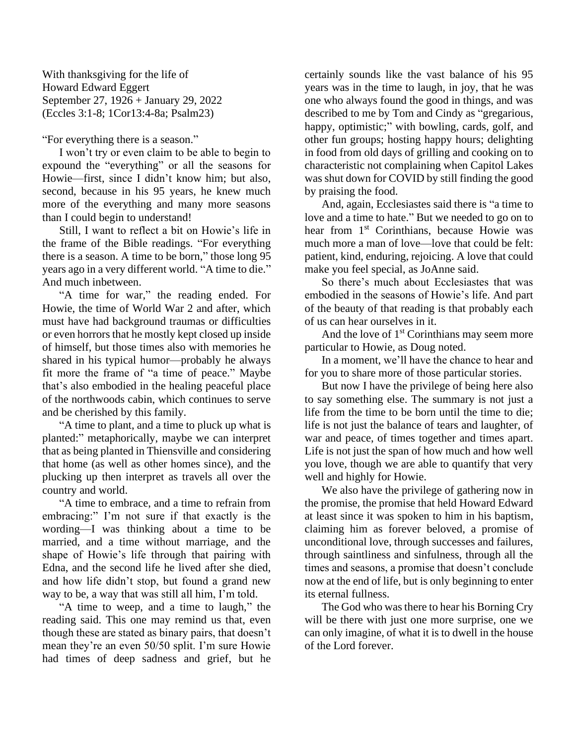With thanksgiving for the life of Howard Edward Eggert September 27, 1926 + January 29, 2022 (Eccles 3:1-8; 1Cor13:4-8a; Psalm23)

"For everything there is a season."

I won't try or even claim to be able to begin to expound the "everything" or all the seasons for Howie—first, since I didn't know him; but also, second, because in his 95 years, he knew much more of the everything and many more seasons than I could begin to understand!

Still, I want to reflect a bit on Howie's life in the frame of the Bible readings. "For everything there is a season. A time to be born," those long 95 years ago in a very different world. "A time to die." And much inbetween.

"A time for war," the reading ended. For Howie, the time of World War 2 and after, which must have had background traumas or difficulties or even horrors that he mostly kept closed up inside of himself, but those times also with memories he shared in his typical humor—probably he always fit more the frame of "a time of peace." Maybe that's also embodied in the healing peaceful place of the northwoods cabin, which continues to serve and be cherished by this family.

"A time to plant, and a time to pluck up what is planted:" metaphorically, maybe we can interpret that as being planted in Thiensville and considering that home (as well as other homes since), and the plucking up then interpret as travels all over the country and world.

"A time to embrace, and a time to refrain from embracing:" I'm not sure if that exactly is the wording—I was thinking about a time to be married, and a time without marriage, and the shape of Howie's life through that pairing with Edna, and the second life he lived after she died, and how life didn't stop, but found a grand new way to be, a way that was still all him, I'm told.

"A time to weep, and a time to laugh," the reading said. This one may remind us that, even though these are stated as binary pairs, that doesn't mean they're an even 50/50 split. I'm sure Howie had times of deep sadness and grief, but he certainly sounds like the vast balance of his 95 years was in the time to laugh, in joy, that he was one who always found the good in things, and was described to me by Tom and Cindy as "gregarious, happy, optimistic;" with bowling, cards, golf, and other fun groups; hosting happy hours; delighting in food from old days of grilling and cooking on to characteristic not complaining when Capitol Lakes was shut down for COVID by still finding the good by praising the food.

And, again, Ecclesiastes said there is "a time to love and a time to hate." But we needed to go on to hear from 1<sup>st</sup> Corinthians, because Howie was much more a man of love—love that could be felt: patient, kind, enduring, rejoicing. A love that could make you feel special, as JoAnne said.

So there's much about Ecclesiastes that was embodied in the seasons of Howie's life. And part of the beauty of that reading is that probably each of us can hear ourselves in it.

And the love of  $1<sup>st</sup>$  Corinthians may seem more particular to Howie, as Doug noted.

In a moment, we'll have the chance to hear and for you to share more of those particular stories.

But now I have the privilege of being here also to say something else. The summary is not just a life from the time to be born until the time to die; life is not just the balance of tears and laughter, of war and peace, of times together and times apart. Life is not just the span of how much and how well you love, though we are able to quantify that very well and highly for Howie.

We also have the privilege of gathering now in the promise, the promise that held Howard Edward at least since it was spoken to him in his baptism, claiming him as forever beloved, a promise of unconditional love, through successes and failures, through saintliness and sinfulness, through all the times and seasons, a promise that doesn't conclude now at the end of life, but is only beginning to enter its eternal fullness.

The God who was there to hear his Borning Cry will be there with just one more surprise, one we can only imagine, of what it is to dwell in the house of the Lord forever.